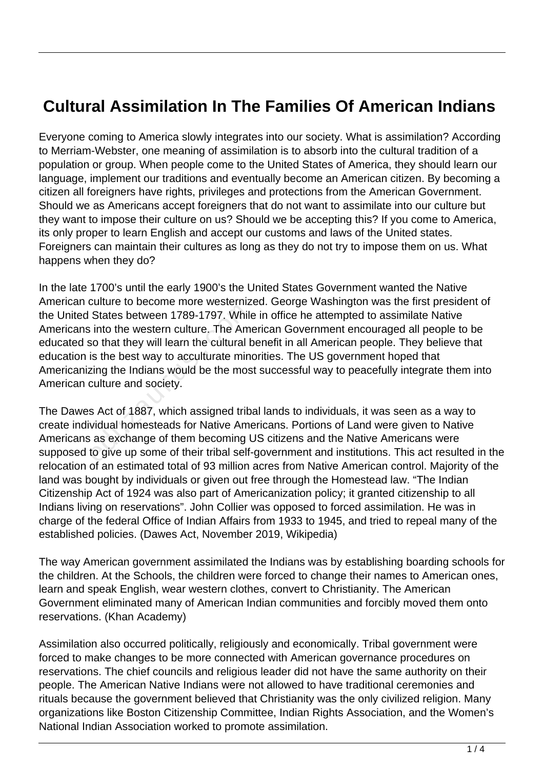## **Cultural Assimilation In The Families Of American Indians**

Everyone coming to America slowly integrates into our society. What is assimilation? According to Merriam-Webster, one meaning of assimilation is to absorb into the cultural tradition of a population or group. When people come to the United States of America, they should learn our language, implement our traditions and eventually become an American citizen. By becoming a citizen all foreigners have rights, privileges and protections from the American Government. Should we as Americans accept foreigners that do not want to assimilate into our culture but they want to impose their culture on us? Should we be accepting this? If you come to America, its only proper to learn English and accept our customs and laws of the United states. Foreigners can maintain their cultures as long as they do not try to impose them on us. What happens when they do?

In the late 1700's until the early 1900's the United States Government wanted the Native American culture to become more westernized. George Washington was the first president of the United States between 1789-1797. While in office he attempted to assimilate Native Americans into the western culture. The American Government encouraged all people to be educated so that they will learn the cultural benefit in all American people. They believe that education is the best way to acculturate minorities. The US government hoped that Americanizing the Indians would be the most successful way to peacefully integrate them into American culture and society. States between 1789-1797. While<br>into the western culture. The Ameso that they will learn the cultural k<br>is the best way to acculturate min-<br>zing the Indians would be the mos-<br>culture and society.<br>Seculture and society.<br>Sec

The Dawes Act of 1887, which assigned tribal lands to individuals, it was seen as a way to create individual homesteads for Native Americans. Portions of Land were given to Native Americans as exchange of them becoming US citizens and the Native Americans were supposed to give up some of their tribal self-government and institutions. This act resulted in the relocation of an estimated total of 93 million acres from Native American control. Majority of the land was bought by individuals or given out free through the Homestead law. "The Indian Citizenship Act of 1924 was also part of Americanization policy; it granted citizenship to all Indians living on reservations". John Collier was opposed to forced assimilation. He was in charge of the federal Office of Indian Affairs from 1933 to 1945, and tried to repeal many of the established policies. (Dawes Act, November 2019, Wikipedia)

The way American government assimilated the Indians was by establishing boarding schools for the children. At the Schools, the children were forced to change their names to American ones, learn and speak English, wear western clothes, convert to Christianity. The American Government eliminated many of American Indian communities and forcibly moved them onto reservations. (Khan Academy)

Assimilation also occurred politically, religiously and economically. Tribal government were forced to make changes to be more connected with American governance procedures on reservations. The chief councils and religious leader did not have the same authority on their people. The American Native Indians were not allowed to have traditional ceremonies and rituals because the government believed that Christianity was the only civilized religion. Many organizations like Boston Citizenship Committee, Indian Rights Association, and the Women's National Indian Association worked to promote assimilation.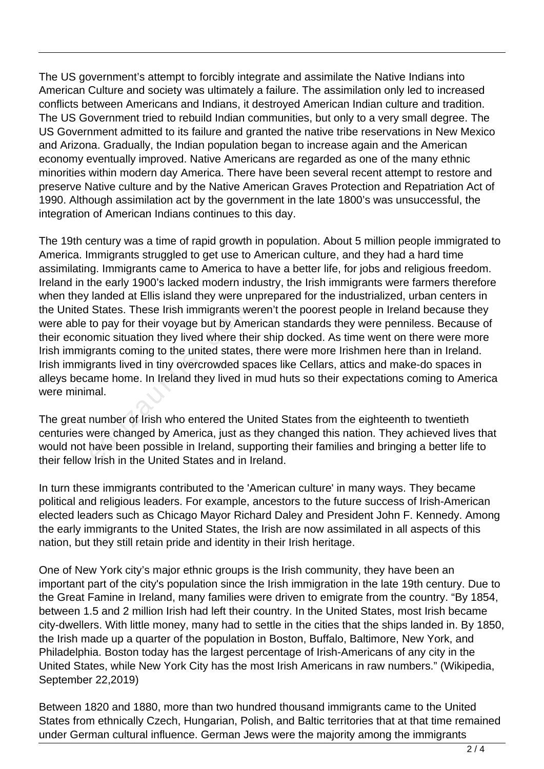The US government's attempt to forcibly integrate and assimilate the Native Indians into American Culture and society was ultimately a failure. The assimilation only led to increased conflicts between Americans and Indians, it destroyed American Indian culture and tradition. The US Government tried to rebuild Indian communities, but only to a very small degree. The US Government admitted to its failure and granted the native tribe reservations in New Mexico and Arizona. Gradually, the Indian population began to increase again and the American economy eventually improved. Native Americans are regarded as one of the many ethnic minorities within modern day America. There have been several recent attempt to restore and preserve Native culture and by the Native American Graves Protection and Repatriation Act of 1990. Although assimilation act by the government in the late 1800's was unsuccessful, the integration of American Indians continues to this day.

The 19th century was a time of rapid growth in population. About 5 million people immigrated to America. Immigrants struggled to get use to American culture, and they had a hard time assimilating. Immigrants came to America to have a better life, for jobs and religious freedom. Ireland in the early 1900's lacked modern industry, the Irish immigrants were farmers therefore when they landed at Ellis island they were unprepared for the industrialized, urban centers in the United States. These Irish immigrants weren't the poorest people in Ireland because they were able to pay for their voyage but by American standards they were penniless. Because of their economic situation they lived where their ship docked. As time went on there were more Irish immigrants coming to the united states, there were more Irishmen here than in Ireland. Irish immigrants lived in tiny overcrowded spaces like Cellars, attics and make-do spaces in alleys became home. In Ireland they lived in mud huts so their expectations coming to America were minimal. States. These Irish immigrants we<br>to pay for their voyage but by Ame<br>omic situation they lived where the<br>grants coming to the united states,<br>grants lived in tiny overcrowded sp<br>ame home. In Ireland they lived in<br>nal.<br>numbe

The great number of Irish who entered the United States from the eighteenth to twentieth centuries were changed by America, just as they changed this nation. They achieved lives that would not have been possible in Ireland, supporting their families and bringing a better life to their fellow Irish in the United States and in Ireland.

In turn these immigrants contributed to the 'American culture' in many ways. They became political and religious leaders. For example, ancestors to the future success of Irish-American elected leaders such as Chicago Mayor Richard Daley and President John F. Kennedy. Among the early immigrants to the United States, the Irish are now assimilated in all aspects of this nation, but they still retain pride and identity in their Irish heritage.

One of New York city's major ethnic groups is the Irish community, they have been an important part of the city's population since the Irish immigration in the late 19th century. Due to the Great Famine in Ireland, many families were driven to emigrate from the country. "By 1854, between 1.5 and 2 million Irish had left their country. In the United States, most Irish became city-dwellers. With little money, many had to settle in the cities that the ships landed in. By 1850, the Irish made up a quarter of the population in Boston, Buffalo, Baltimore, New York, and Philadelphia. Boston today has the largest percentage of Irish-Americans of any city in the United States, while New York City has the most Irish Americans in raw numbers." (Wikipedia, September 22,2019)

Between 1820 and 1880, more than two hundred thousand immigrants came to the United States from ethnically Czech, Hungarian, Polish, and Baltic territories that at that time remained under German cultural influence. German Jews were the majority among the immigrants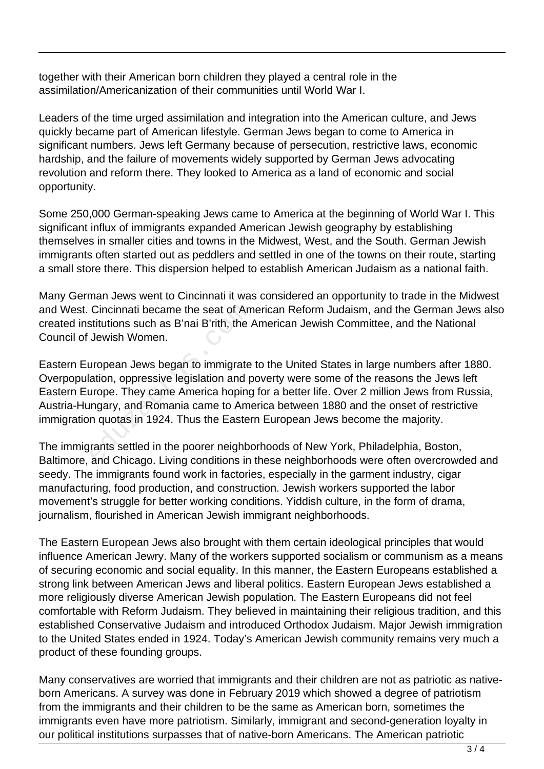together with their American born children they played a central role in the assimilation/Americanization of their communities until World War I.

Leaders of the time urged assimilation and integration into the American culture, and Jews quickly became part of American lifestyle. German Jews began to come to America in significant numbers. Jews left Germany because of persecution, restrictive laws, economic hardship, and the failure of movements widely supported by German Jews advocating revolution and reform there. They looked to America as a land of economic and social opportunity.

Some 250,000 German-speaking Jews came to America at the beginning of World War I. This significant influx of immigrants expanded American Jewish geography by establishing themselves in smaller cities and towns in the Midwest, West, and the South. German Jewish immigrants often started out as peddlers and settled in one of the towns on their route, starting a small store there. This dispersion helped to establish American Judaism as a national faith.

Many German Jews went to Cincinnati it was considered an opportunity to trade in the Midwest and West. Cincinnati became the seat of American Reform Judaism, and the German Jews also created institutions such as B'nai B'rith, the American Jewish Committee, and the National Council of Jewish Women.

Eastern European Jews began to immigrate to the United States in large numbers after 1880. Overpopulation, oppressive legislation and poverty were some of the reasons the Jews left Eastern Europe. They came America hoping for a better life. Over 2 million Jews from Russia, Austria-Hungary, and Romania came to America between 1880 and the onset of restrictive immigration quotas in 1924. Thus the Eastern European Jews become the majority. Cincinnati became the seat of Am<br>stitutions such as B'nai B'rith, the J<br>Jewish Women.<br>uropean Jews began to immigrate<br>ation, oppressive legislation and p<br>urope. They came America hoping<br>ingary, and Romania came to Ame<br>n qu

The immigrants settled in the poorer neighborhoods of New York, Philadelphia, Boston, Baltimore, and Chicago. Living conditions in these neighborhoods were often overcrowded and seedy. The immigrants found work in factories, especially in the garment industry, cigar manufacturing, food production, and construction. Jewish workers supported the labor movement's struggle for better working conditions. Yiddish culture, in the form of drama, journalism, flourished in American Jewish immigrant neighborhoods.

The Eastern European Jews also brought with them certain ideological principles that would influence American Jewry. Many of the workers supported socialism or communism as a means of securing economic and social equality. In this manner, the Eastern Europeans established a strong link between American Jews and liberal politics. Eastern European Jews established a more religiously diverse American Jewish population. The Eastern Europeans did not feel comfortable with Reform Judaism. They believed in maintaining their religious tradition, and this established Conservative Judaism and introduced Orthodox Judaism. Major Jewish immigration to the United States ended in 1924. Today's American Jewish community remains very much a product of these founding groups.

Many conservatives are worried that immigrants and their children are not as patriotic as nativeborn Americans. A survey was done in February 2019 which showed a degree of patriotism from the immigrants and their children to be the same as American born, sometimes the immigrants even have more patriotism. Similarly, immigrant and second-generation loyalty in our political institutions surpasses that of native-born Americans. The American patriotic